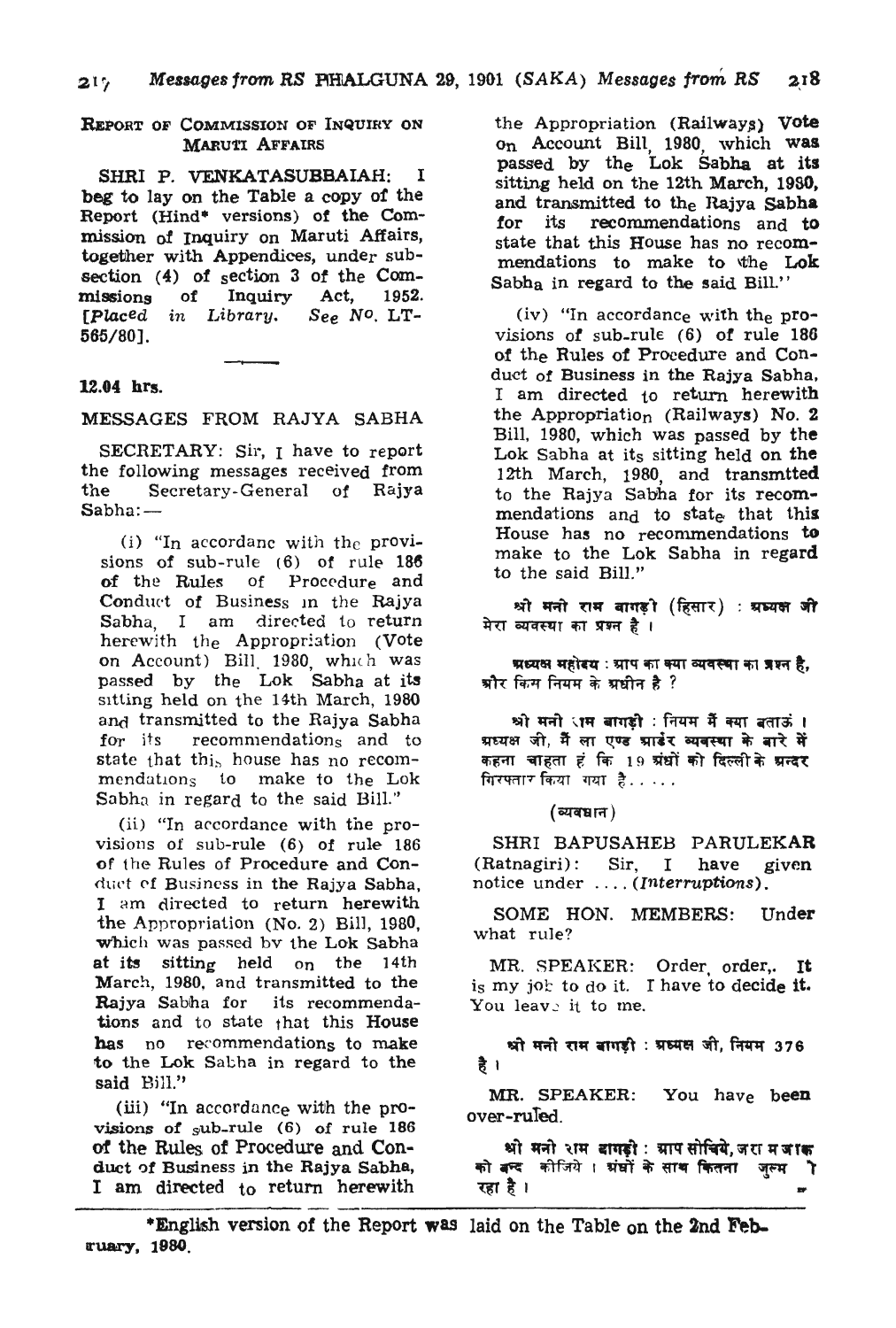#### REPoRT OF COMMISSION OF INQUIRY ON **MARUTI AFFAIRS**

SHRI P. VENKATASUBBAIAH: I beg to lay on the Table a copy of the Report (Hind<sup>\*</sup> versions) of the Commission of Inquiry on Maruti Affairs, together with Appendices, under subsection (4) of section 3 of the Com-<br>missions of Inquiry Act. 1952. missions of Inquiry Act, 1952.<br>[Placed in Library. See No. LT-*[Placed in Library.* 565/80].

## 12.04 hrs.

MESSAGES FROM RAJYA SABHA

SECRETARY; Sir, I have to report the following messages received from the Secretary -General of Rajya Sabha:-

(i) "In accordanc with the provisions of sub-rule (6) of rule 186 of the Rules of Procedure and Conduct of Business in the Rajya Sabha, I am directed to return herewith the Appropriation (Vote on Account) Bill. 1980, which was passed by the Lok Sabha at its SItting held on the 14th March, 1980 and transmitted to the Rajya Sabha for its recommendations and to state that this house has no recommendations to make to the Lok Sabha in regard to the said Bill."

(ii) "In accordance with the provisions of sub-rule  $(6)$  of rule 186 of the Rules of Procedure and Conduct of Business in the Rajya Sabha, I am directed to return herewith the Appropriation (No.2) Bill, 1980, which was passed by the Lok Sabha at its sitting held on the 14th March., 1980, and transmitted to the Rajya Sabha for its recommendations and to state that this House has no recommendations to make to the Lok Sabha in regard to the said Bill."

(iii) "In accordance with the provisions of sub-rule (6) of rule 186 of the Rules of Procedure and Conduct of Business in the Rajya Sabha, I am directed to return herewith

the Appropriation  $(Railways)$  Vote on Account Bill, 1980, which was passed by the Lok Sabha at its sitting held on the 12th March, 1950, and transmitted to the Rajya Sabha<br>for its recommendations and to recommendations and to state that this House has no recommendations to make to the Lok Sabh<sub>a</sub> in regard to the said Bill."

(iv) "In accordance with the provisions of sub-rule (6) of rule 186 of the Rules of Procedure and Conduct of Business in the Rajya Sabha, I am directed to return herewith the Appropriation (Railways) No. 2 Bill, 1980, which was passed by the Lok Sabha at its sitting held on the 12th March, 1980, and transmtted to the Rajya Sabha for its recommendations and to state that this House has no recommendations to make to the Lok Sabha in regard to the said Bill."

श्री मनो राम बागड़ी (हिसार) : श्रध्यक्ष जी मेरा व्यवस्या का प्रश्न है।

ग्रध्यक्ष महोदय : ग्राप का क्या व्यवस्था का प्रश्न है, श्रीर किस नियम के श्रधीन है ?

श्री मनी ाम बागडी : नियम मैं क्या बताऊं । ग्रध्यक्ष जी, मैं ला एण्ड ग्राडंर व्यवस्था के बारे में कहना चाहता हं कि 19 ग्रंधों को दिल्ली के <mark>ग्रन्दर</mark> गिरफ्तार किया। गया है $\dots$ 

 $($ व्यवधान $)$ 

SHRI BAPUSAHEB PARULEKAR (Ratnagiri): Sir, I have given notice under .... *(Interruptions).* 

SOME HON. MEMBERS: Under what rule?

MR. SPEAKER: Order, order,. It is my job to do it. I have to decide it. You leave it to me.

श्री मनी राम बागड़ी : प्रध्यक्ष जी, नियम 376

है।<br>MR. SPEAKER: You hav<sub>e</sub> be**en** over-ruTed.

'श्री मनो राम बागड़ी: ग्राप सोचिये,जरा म जाक<br>को बन्द कीजिये । ग्रंघों के साथ कितना जुल्म .<br>''

\*English version of the Report was laid on the Table on the 2nd February, 1980.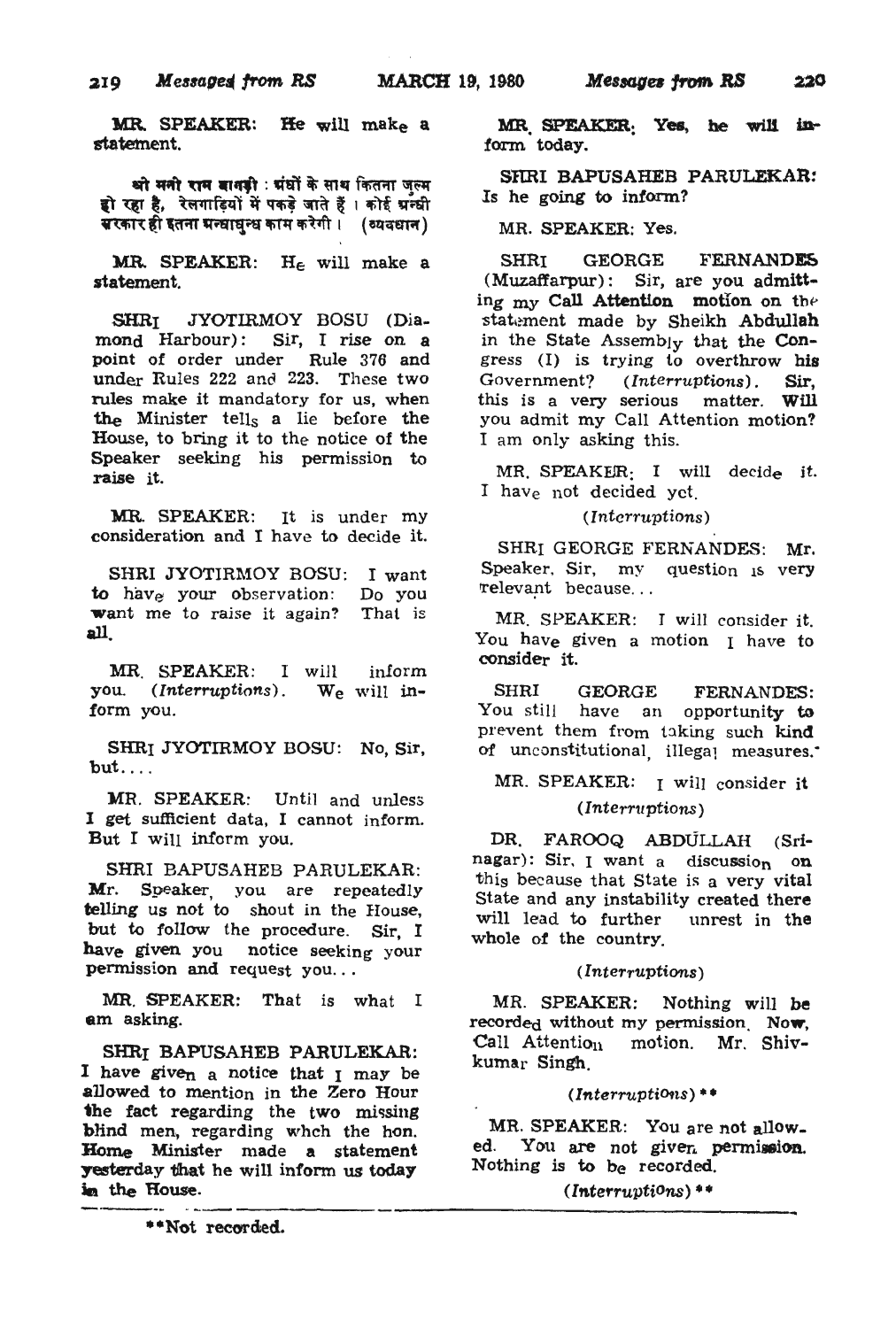MR. SPEAKER: He will make a statement.

श्वो मनो राम बानकी : ग्रंघों के साथ कितना जल्म हो रहा है, रेलगाड़ियों में पकड़े जाते हैं। कोई ग्रन्धी  $\overline{u}$ रकार ही इतना मन्घाघुन्ध काम करेगी ।  $\,$  (व्यवधान )

MR. SPEAKER:  $H_{\epsilon}$  will make a statement.

SHRI JYOTIRMOY BOSU (Diamond Harbour): Sir, I rise on a point of order under Rule 376 and under Rules 222 and 223. These two rules make it mandatory for us, when the Minister tells a lie before the House, to bring it to the notice of the Speaker seeking his permission to raise it.

MR. SPEAKER: It is under my consideration and I have to decide it.

SHRI JYOTIRMOY BOSU: I want to have your observation: want me to raise it again? all. Do you That is

MR. SPEAKER: I will inform you. *(Interruptions)*. We will inform you.

SHRI JYOTIRMOY BOSU: No, Sir,  $but...$ .

MR. SPEAKER: Until and unless I get sufficient data, I cannot inform. But I will inform you.

SHRI BAPUSAHEB PARULEKAR: Mr. Speaker, you are repeatedly telling us not to shout in the House, but to follow the procedure. Sir, I have given you notice seeking your permission and request you...

MR. SPEAKER: That is what I am asking.

SHRr BAPUSAHEB PARULEKAR: I have give<sub>n a</sub> notice that I may be allowed to mention in the Zero Hour the fact regarding the two missing blind men, regarding whch the hon. Home Minister made a statement yesterday that he will inform us today in the House.

MR SPEAKER. Yes, he will inform today.

SRRI BAPUSAHEB PARULEKAR: Is he going to inform?

MR. SPEAKER: Yes.

SHRI GEORGE FERNANDES (Muzaffarpur): Sir, are you admitting  $my$  Call Attention motion on the statement made by Sheikh Abdullah in the State Assembly that the Congress (I) is trying to overthrow his<br>Government? (Interruptions). Sir, (*Interruptions*). Sir, this is a very serious matter. Will you admit my Call Attention motion? I am only asking this.

MR. SPEAKER: I will decide it. I have not decided yet.

*(Interruptions)* 

SHRI GEORGE FERNANDES: Mr. Speaker, Sir, my question is very relevant because...

MR. SPEAKER: I will consider it. You have given a motion I have to consider it.

SHRI GEORGE FERNANDES: You still have an opportunity to prevent them from taking such kind of unconstitutional illegal measures.

# MR. SPEAKER: I will consider it  $(Interruptions)$

DR. FAROOQ ABDULLAH (Srinagar): Sir, I want a discussion on this because that state is a very vital state and any instability created there will lead to further unrest in the whole of the country.

*(Interruptions)* 

MR. SPEAKER: Nothing will be recorded without my permission. Now, Call Attention motion. Mr. Shivkumar Singh.

*(InterruptiOttS)* ••

MR. SPEAKER: You are not allowed. You are not given permission. Nothing *is* to be recorded.

 $(Interruptions)$  \*\*